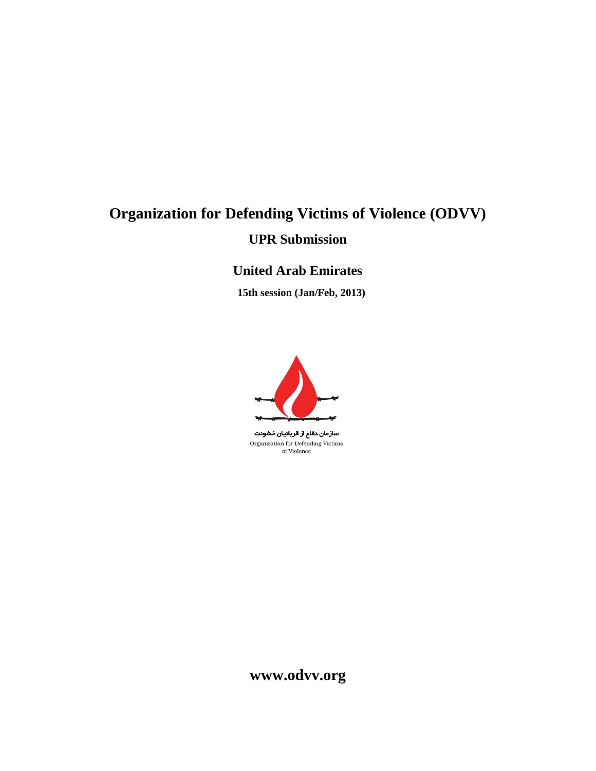# **Organization for Defending Victims of Violence (ODVV) UPR Submission**

## **United Arab Emirates**

 **15th session (Jan/Feb, 2013)**



سازمان دفاع از قربانیان خشونت Organization for Defending Victims of Violence

**www.odvv.org**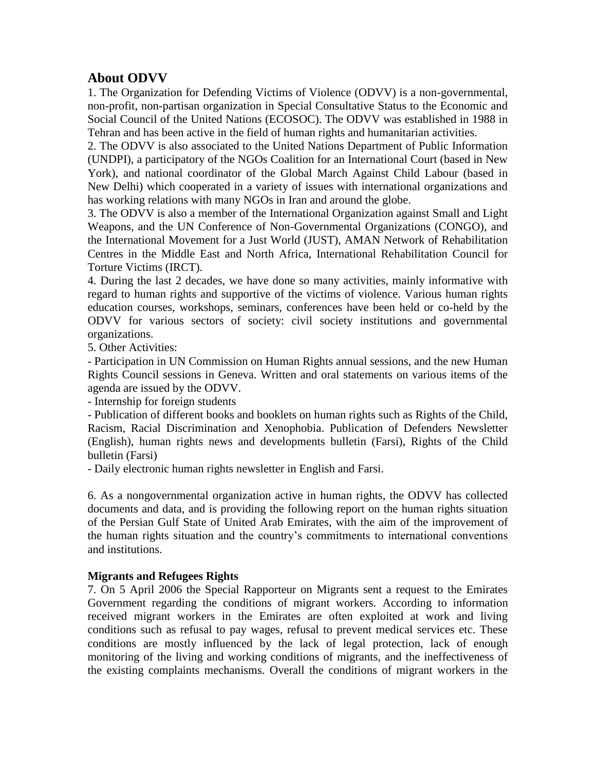### **About ODVV**

1. The Organization for Defending Victims of Violence (ODVV) is a non-governmental, non-profit, non-partisan organization in Special Consultative Status to the Economic and Social Council of the United Nations (ECOSOC). The ODVV was established in 1988 in Tehran and has been active in the field of human rights and humanitarian activities.

2. The ODVV is also associated to the United Nations Department of Public Information (UNDPI), a participatory of the NGOs Coalition for an International Court (based in New York), and national coordinator of the Global March Against Child Labour (based in New Delhi) which cooperated in a variety of issues with international organizations and has working relations with many NGOs in Iran and around the globe.

3. The ODVV is also a member of the International Organization against Small and Light Weapons, and the UN Conference of Non-Governmental Organizations (CONGO), and the International Movement for a Just World (JUST), AMAN Network of Rehabilitation Centres in the Middle East and North Africa, International Rehabilitation Council for Torture Victims (IRCT).

4. During the last 2 decades, we have done so many activities, mainly informative with regard to human rights and supportive of the victims of violence. Various human rights education courses, workshops, seminars, conferences have been held or co-held by the ODVV for various sectors of society: civil society institutions and governmental organizations.

5. Other Activities:

- Participation in UN Commission on Human Rights annual sessions, and the new Human Rights Council sessions in Geneva. Written and oral statements on various items of the agenda are issued by the ODVV.

- Internship for foreign students

- Publication of different books and booklets on human rights such as Rights of the Child, Racism, Racial Discrimination and Xenophobia. Publication of Defenders Newsletter (English), human rights news and developments bulletin (Farsi), Rights of the Child bulletin (Farsi)

- Daily electronic human rights newsletter in English and Farsi.

6. As a nongovernmental organization active in human rights, the ODVV has collected documents and data, and is providing the following report on the human rights situation of the Persian Gulf State of United Arab Emirates, with the aim of the improvement of the human rights situation and the country's commitments to international conventions and institutions.

#### **Migrants and Refugees Rights**

7. On 5 April 2006 the Special Rapporteur on Migrants sent a request to the Emirates Government regarding the conditions of migrant workers. According to information received migrant workers in the Emirates are often exploited at work and living conditions such as refusal to pay wages, refusal to prevent medical services etc. These conditions are mostly influenced by the lack of legal protection, lack of enough monitoring of the living and working conditions of migrants, and the ineffectiveness of the existing complaints mechanisms. Overall the conditions of migrant workers in the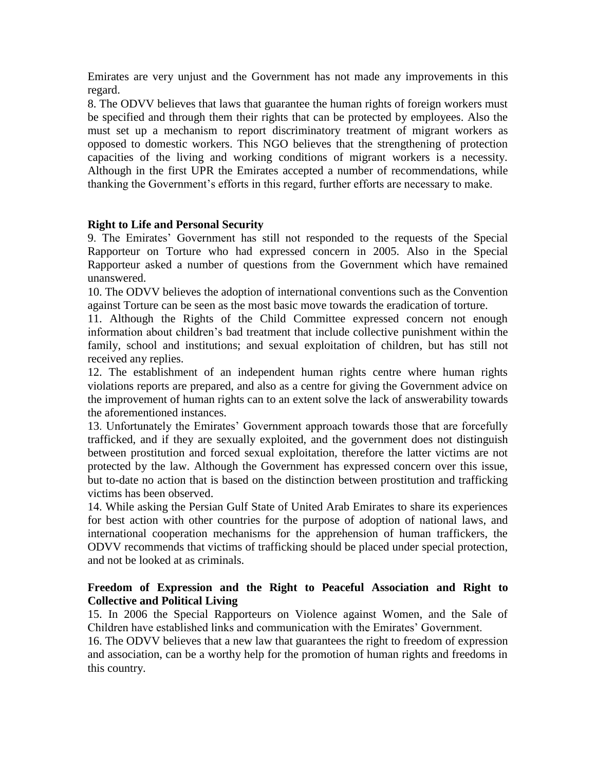Emirates are very unjust and the Government has not made any improvements in this regard.

8. The ODVV believes that laws that guarantee the human rights of foreign workers must be specified and through them their rights that can be protected by employees. Also the must set up a mechanism to report discriminatory treatment of migrant workers as opposed to domestic workers. This NGO believes that the strengthening of protection capacities of the living and working conditions of migrant workers is a necessity. Although in the first UPR the Emirates accepted a number of recommendations, while thanking the Government's efforts in this regard, further efforts are necessary to make.

#### **Right to Life and Personal Security**

9. The Emirates' Government has still not responded to the requests of the Special Rapporteur on Torture who had expressed concern in 2005. Also in the Special Rapporteur asked a number of questions from the Government which have remained unanswered.

10. The ODVV believes the adoption of international conventions such as the Convention against Torture can be seen as the most basic move towards the eradication of torture.

11. Although the Rights of the Child Committee expressed concern not enough information about children's bad treatment that include collective punishment within the family, school and institutions; and sexual exploitation of children, but has still not received any replies.

12. The establishment of an independent human rights centre where human rights violations reports are prepared, and also as a centre for giving the Government advice on the improvement of human rights can to an extent solve the lack of answerability towards the aforementioned instances.

13. Unfortunately the Emirates' Government approach towards those that are forcefully trafficked, and if they are sexually exploited, and the government does not distinguish between prostitution and forced sexual exploitation, therefore the latter victims are not protected by the law. Although the Government has expressed concern over this issue, but to-date no action that is based on the distinction between prostitution and trafficking victims has been observed.

14. While asking the Persian Gulf State of United Arab Emirates to share its experiences for best action with other countries for the purpose of adoption of national laws, and international cooperation mechanisms for the apprehension of human traffickers, the ODVV recommends that victims of trafficking should be placed under special protection, and not be looked at as criminals.

#### **Freedom of Expression and the Right to Peaceful Association and Right to Collective and Political Living**

15. In 2006 the Special Rapporteurs on Violence against Women, and the Sale of Children have established links and communication with the Emirates' Government.

16. The ODVV believes that a new law that guarantees the right to freedom of expression and association, can be a worthy help for the promotion of human rights and freedoms in this country.